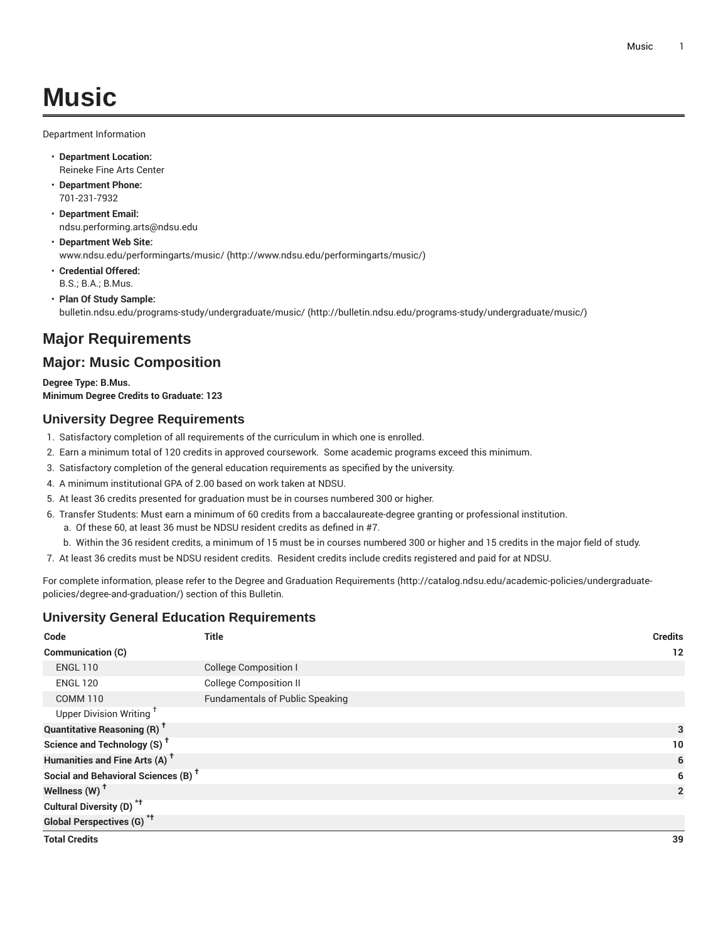Department Information

- **Department Location:** Reineke Fine Arts Center
- **Department Phone:** 701-231-7932
- **Department Email:** [ndsu.performing.arts@ndsu.edu](mailto:ndsu.performing.arts@ndsu.edu)
- **Department Web Site:** [www.ndsu.edu/performingarts/music/ \(http://www.ndsu.edu/performingarts/music/](http://www.ndsu.edu/performingarts/music/))
- **Credential Offered:** B.S.; B.A.; B.Mus.
- **Plan Of Study Sample:** [bulletin.ndsu.edu/programs-study/undergraduate/music/ \(http://bulletin.ndsu.edu/programs-study/undergraduate/music/](http://bulletin.ndsu.edu/programs-study/undergraduate/music/))

## **Major Requirements**

## **Major: Music Composition**

**Degree Type: B.Mus. Minimum Degree Credits to Graduate: 123**

## **University Degree Requirements**

- 1. Satisfactory completion of all requirements of the curriculum in which one is enrolled.
- 2. Earn a minimum total of 120 credits in approved coursework. Some academic programs exceed this minimum.
- 3. Satisfactory completion of the general education requirements as specified by the university.
- 4. A minimum institutional GPA of 2.00 based on work taken at NDSU.
- 5. At least 36 credits presented for graduation must be in courses numbered 300 or higher.
- 6. Transfer Students: Must earn a minimum of 60 credits from a baccalaureate-degree granting or professional institution.
	- a. Of these 60, at least 36 must be NDSU resident credits as defined in #7.
- b. Within the 36 resident credits, a minimum of 15 must be in courses numbered 300 or higher and 15 credits in the major field of study.
- 7. At least 36 credits must be NDSU resident credits. Resident credits include credits registered and paid for at NDSU.

For complete information, please refer to the Degree and Graduation [Requirements](http://catalog.ndsu.edu/academic-policies/undergraduate-policies/degree-and-graduation/) ([http://catalog.ndsu.edu/academic-policies/undergraduate](http://catalog.ndsu.edu/academic-policies/undergraduate-policies/degree-and-graduation/)[policies/degree-and-graduation/\)](http://catalog.ndsu.edu/academic-policies/undergraduate-policies/degree-and-graduation/) section of this Bulletin.

## **University General Education Requirements**

| Code                                            | <b>Title</b>                           | <b>Credits</b> |
|-------------------------------------------------|----------------------------------------|----------------|
| <b>Communication (C)</b>                        |                                        | 12             |
| <b>ENGL 110</b>                                 | <b>College Composition I</b>           |                |
| <b>ENGL 120</b>                                 | <b>College Composition II</b>          |                |
| <b>COMM 110</b>                                 | <b>Fundamentals of Public Speaking</b> |                |
| Upper Division Writing <sup>+</sup>             |                                        |                |
| <b>Quantitative Reasoning (R)<sup>†</sup></b>   |                                        | 3              |
| Science and Technology (S) <sup>+</sup>         |                                        | 10             |
| Humanities and Fine Arts (A) <sup>+</sup>       |                                        | 6              |
| Social and Behavioral Sciences (B) <sup>+</sup> |                                        | 6              |
| Wellness (W) <sup>t</sup>                       |                                        | $\overline{2}$ |
| Cultural Diversity (D) <sup>*†</sup>            |                                        |                |
| <b>Global Perspectives (G)<sup>*†</sup></b>     |                                        |                |
| <b>Total Credits</b>                            |                                        | 39             |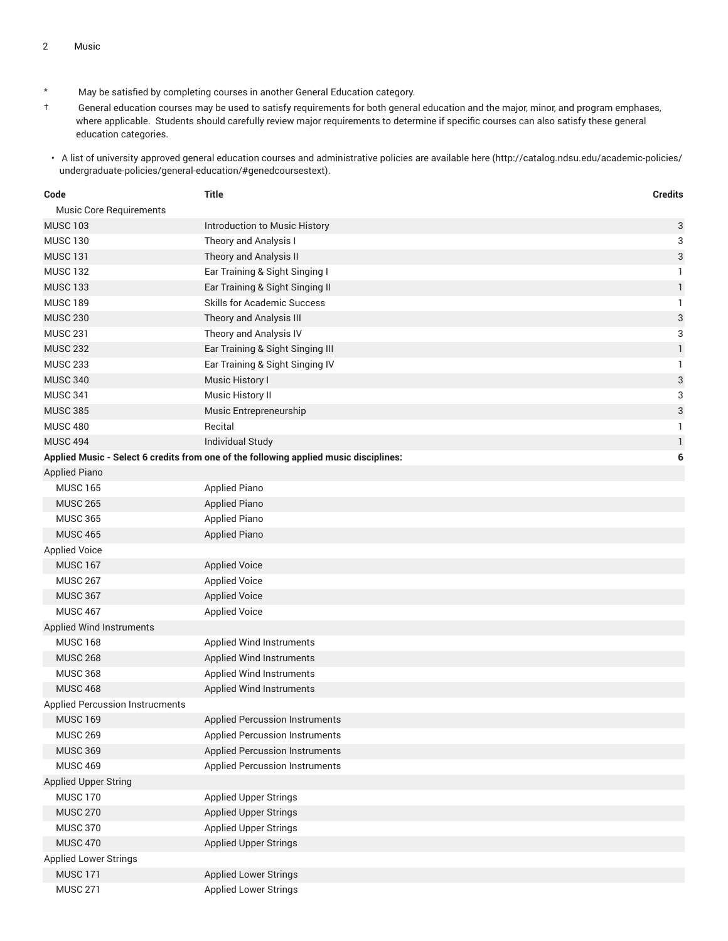- \* May be satisfied by completing courses in another General Education category.
- † General education courses may be used to satisfy requirements for both general education and the major, minor, and program emphases, where applicable. Students should carefully review major requirements to determine if specific courses can also satisfy these general education categories.
- A list of university approved general education courses and administrative policies are available [here](http://catalog.ndsu.edu/academic-policies/undergraduate-policies/general-education/#genedcoursestext) ([http://catalog.ndsu.edu/academic-policies/](http://catalog.ndsu.edu/academic-policies/undergraduate-policies/general-education/#genedcoursestext) [undergraduate-policies/general-education/#genedcoursestext](http://catalog.ndsu.edu/academic-policies/undergraduate-policies/general-education/#genedcoursestext)).

| Code                                   | <b>Title</b>                                                                          | <b>Credits</b>            |
|----------------------------------------|---------------------------------------------------------------------------------------|---------------------------|
| Music Core Requirements                |                                                                                       |                           |
| <b>MUSC 103</b>                        | <b>Introduction to Music History</b>                                                  | 3                         |
| <b>MUSC 130</b>                        | Theory and Analysis I                                                                 | 3                         |
| <b>MUSC 131</b>                        | Theory and Analysis II                                                                | 3                         |
| <b>MUSC 132</b>                        | Ear Training & Sight Singing I                                                        | 1                         |
| <b>MUSC 133</b>                        | Ear Training & Sight Singing II                                                       | $\mathbf{1}$              |
| <b>MUSC 189</b>                        | <b>Skills for Academic Success</b>                                                    | 1                         |
| <b>MUSC 230</b>                        | Theory and Analysis III                                                               | 3                         |
| <b>MUSC 231</b>                        | Theory and Analysis IV                                                                | 3                         |
| <b>MUSC 232</b>                        | Ear Training & Sight Singing III                                                      | $\mathbf{1}$              |
| <b>MUSC 233</b>                        | Ear Training & Sight Singing IV                                                       | $\mathbf{1}$              |
| <b>MUSC 340</b>                        | Music History I                                                                       | $\ensuremath{\mathsf{3}}$ |
| <b>MUSC 341</b>                        | Music History II                                                                      | 3                         |
| <b>MUSC 385</b>                        | Music Entrepreneurship                                                                | 3                         |
| <b>MUSC 480</b>                        | Recital                                                                               | 1                         |
| <b>MUSC 494</b>                        | <b>Individual Study</b>                                                               | $\mathbf{1}$              |
|                                        | Applied Music - Select 6 credits from one of the following applied music disciplines: | 6                         |
| <b>Applied Piano</b>                   |                                                                                       |                           |
| <b>MUSC 165</b>                        | <b>Applied Piano</b>                                                                  |                           |
| <b>MUSC 265</b>                        | <b>Applied Piano</b>                                                                  |                           |
| <b>MUSC 365</b>                        | <b>Applied Piano</b>                                                                  |                           |
| <b>MUSC 465</b>                        | <b>Applied Piano</b>                                                                  |                           |
| <b>Applied Voice</b>                   |                                                                                       |                           |
| <b>MUSC 167</b>                        | <b>Applied Voice</b>                                                                  |                           |
| <b>MUSC 267</b>                        | <b>Applied Voice</b>                                                                  |                           |
| <b>MUSC 367</b>                        | <b>Applied Voice</b>                                                                  |                           |
| <b>MUSC 467</b>                        | <b>Applied Voice</b>                                                                  |                           |
| Applied Wind Instruments               |                                                                                       |                           |
| <b>MUSC 168</b>                        | Applied Wind Instruments                                                              |                           |
| <b>MUSC 268</b>                        | <b>Applied Wind Instruments</b>                                                       |                           |
| <b>MUSC 368</b>                        | Applied Wind Instruments                                                              |                           |
| <b>MUSC 468</b>                        | <b>Applied Wind Instruments</b>                                                       |                           |
| <b>Applied Percussion Instrucments</b> |                                                                                       |                           |
| <b>MUSC 169</b>                        | <b>Applied Percussion Instruments</b>                                                 |                           |
| <b>MUSC 269</b>                        | <b>Applied Percussion Instruments</b>                                                 |                           |
| <b>MUSC 369</b>                        | <b>Applied Percussion Instruments</b>                                                 |                           |
| <b>MUSC 469</b>                        | <b>Applied Percussion Instruments</b>                                                 |                           |
| Applied Upper String                   |                                                                                       |                           |
| <b>MUSC 170</b>                        | <b>Applied Upper Strings</b>                                                          |                           |
| <b>MUSC 270</b>                        | <b>Applied Upper Strings</b>                                                          |                           |
| <b>MUSC 370</b>                        | <b>Applied Upper Strings</b>                                                          |                           |
| <b>MUSC 470</b>                        | <b>Applied Upper Strings</b>                                                          |                           |
| <b>Applied Lower Strings</b>           |                                                                                       |                           |
| <b>MUSC 171</b>                        | <b>Applied Lower Strings</b>                                                          |                           |
| <b>MUSC 271</b>                        | <b>Applied Lower Strings</b>                                                          |                           |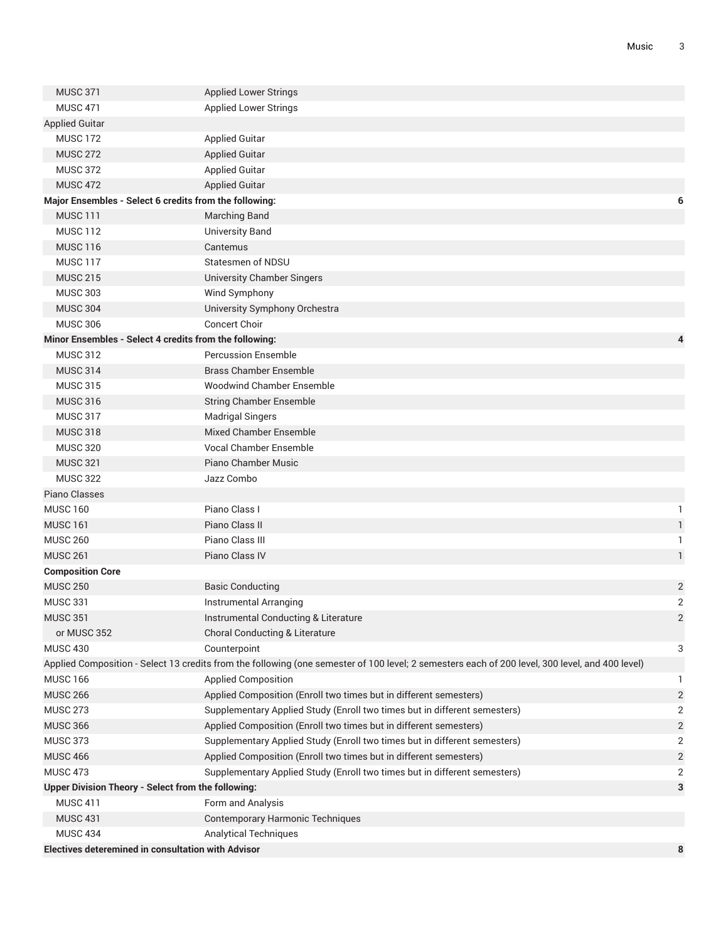| <b>MUSC 371</b>                                           | <b>Applied Lower Strings</b>                                                                                                                    |                |  |  |  |
|-----------------------------------------------------------|-------------------------------------------------------------------------------------------------------------------------------------------------|----------------|--|--|--|
| <b>MUSC 471</b>                                           | <b>Applied Lower Strings</b>                                                                                                                    |                |  |  |  |
| <b>Applied Guitar</b>                                     |                                                                                                                                                 |                |  |  |  |
| <b>MUSC 172</b>                                           | <b>Applied Guitar</b>                                                                                                                           |                |  |  |  |
| <b>MUSC 272</b>                                           | <b>Applied Guitar</b>                                                                                                                           |                |  |  |  |
| <b>MUSC 372</b>                                           | <b>Applied Guitar</b>                                                                                                                           |                |  |  |  |
| <b>MUSC 472</b>                                           | <b>Applied Guitar</b>                                                                                                                           |                |  |  |  |
| Major Ensembles - Select 6 credits from the following:    |                                                                                                                                                 | 6              |  |  |  |
| <b>MUSC 111</b>                                           | <b>Marching Band</b>                                                                                                                            |                |  |  |  |
| <b>MUSC 112</b>                                           | <b>University Band</b>                                                                                                                          |                |  |  |  |
| <b>MUSC 116</b>                                           | Cantemus                                                                                                                                        |                |  |  |  |
| <b>MUSC 117</b>                                           | Statesmen of NDSU                                                                                                                               |                |  |  |  |
| <b>MUSC 215</b>                                           | <b>University Chamber Singers</b>                                                                                                               |                |  |  |  |
| <b>MUSC 303</b>                                           | Wind Symphony                                                                                                                                   |                |  |  |  |
| <b>MUSC 304</b>                                           | University Symphony Orchestra                                                                                                                   |                |  |  |  |
| <b>MUSC 306</b>                                           | <b>Concert Choir</b>                                                                                                                            |                |  |  |  |
|                                                           | Minor Ensembles - Select 4 credits from the following:<br>4                                                                                     |                |  |  |  |
| <b>MUSC 312</b>                                           | <b>Percussion Ensemble</b>                                                                                                                      |                |  |  |  |
| <b>MUSC 314</b>                                           | <b>Brass Chamber Ensemble</b>                                                                                                                   |                |  |  |  |
| <b>MUSC 315</b>                                           | <b>Woodwind Chamber Ensemble</b>                                                                                                                |                |  |  |  |
| <b>MUSC 316</b>                                           | <b>String Chamber Ensemble</b>                                                                                                                  |                |  |  |  |
| <b>MUSC 317</b>                                           | <b>Madrigal Singers</b>                                                                                                                         |                |  |  |  |
| <b>MUSC 318</b>                                           | Mixed Chamber Ensemble                                                                                                                          |                |  |  |  |
| <b>MUSC 320</b>                                           | <b>Vocal Chamber Ensemble</b>                                                                                                                   |                |  |  |  |
| <b>MUSC 321</b>                                           | Piano Chamber Music                                                                                                                             |                |  |  |  |
| <b>MUSC 322</b>                                           | Jazz Combo                                                                                                                                      |                |  |  |  |
| Piano Classes                                             |                                                                                                                                                 |                |  |  |  |
| <b>MUSC 160</b>                                           | Piano Class I                                                                                                                                   | 1              |  |  |  |
| <b>MUSC 161</b>                                           | Piano Class II                                                                                                                                  | 1              |  |  |  |
| <b>MUSC 260</b>                                           | Piano Class III                                                                                                                                 | 1              |  |  |  |
| <b>MUSC 261</b>                                           | Piano Class IV                                                                                                                                  | 1              |  |  |  |
| <b>Composition Core</b>                                   |                                                                                                                                                 |                |  |  |  |
| <b>MUSC 250</b>                                           | <b>Basic Conducting</b>                                                                                                                         | $\overline{2}$ |  |  |  |
| <b>MUSC 331</b>                                           | Instrumental Arranging<br>Instrumental Conducting & Literature                                                                                  | $\overline{2}$ |  |  |  |
| <b>MUSC 351</b>                                           |                                                                                                                                                 | 2              |  |  |  |
| or MUSC 352<br><b>MUSC 430</b>                            | Choral Conducting & Literature<br>Counterpoint                                                                                                  | 3              |  |  |  |
|                                                           | Applied Composition - Select 13 credits from the following (one semester of 100 level; 2 semesters each of 200 level, 300 level, and 400 level) |                |  |  |  |
| <b>MUSC 166</b>                                           | <b>Applied Composition</b>                                                                                                                      | 1              |  |  |  |
| <b>MUSC 266</b>                                           | Applied Composition (Enroll two times but in different semesters)                                                                               | $\sqrt{2}$     |  |  |  |
| <b>MUSC 273</b>                                           | Supplementary Applied Study (Enroll two times but in different semesters)                                                                       | $\overline{2}$ |  |  |  |
| <b>MUSC 366</b>                                           | Applied Composition (Enroll two times but in different semesters)                                                                               | $\overline{2}$ |  |  |  |
| <b>MUSC 373</b>                                           | Supplementary Applied Study (Enroll two times but in different semesters)                                                                       | $\overline{2}$ |  |  |  |
| <b>MUSC 466</b>                                           | Applied Composition (Enroll two times but in different semesters)                                                                               | $\sqrt{2}$     |  |  |  |
| <b>MUSC 473</b>                                           | Supplementary Applied Study (Enroll two times but in different semesters)                                                                       | $\overline{2}$ |  |  |  |
| Upper Division Theory - Select from the following:        |                                                                                                                                                 | 3              |  |  |  |
| <b>MUSC 411</b>                                           | Form and Analysis                                                                                                                               |                |  |  |  |
| <b>MUSC 431</b>                                           | <b>Contemporary Harmonic Techniques</b>                                                                                                         |                |  |  |  |
| <b>MUSC 434</b>                                           | <b>Analytical Techniques</b>                                                                                                                    |                |  |  |  |
| <b>Electives deteremined in consultation with Advisor</b> |                                                                                                                                                 | 8              |  |  |  |
|                                                           |                                                                                                                                                 |                |  |  |  |